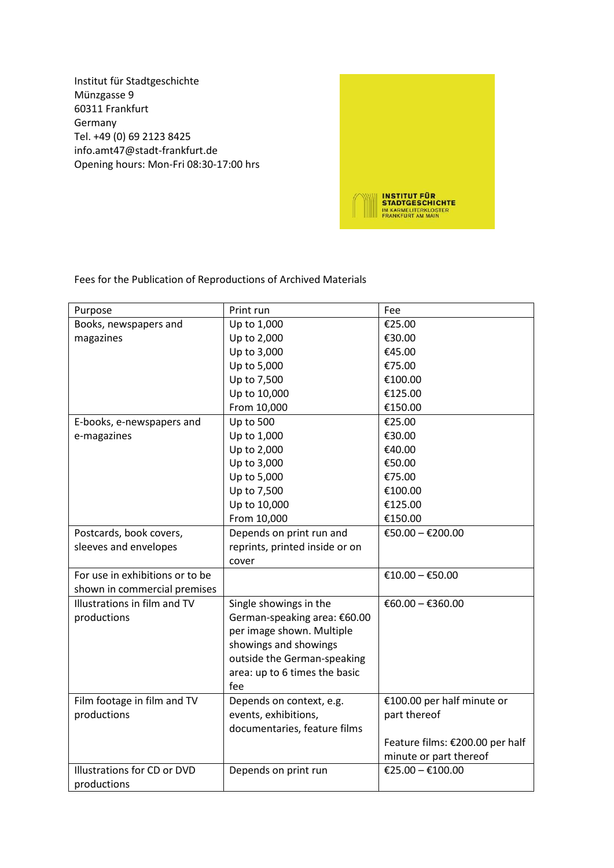Institut für Stadtgeschichte Münzgasse 9 60311 Frankfurt Germany Tel. +49 (0) 69 2123 8425 info.amt47@stadt-frankfurt.de Opening hours: Mon-Fri 08:30-17:00 hrs



Fees for the Publication of Reproductions of Archived Materials

| Purpose                         | Print run                      | Fee                             |
|---------------------------------|--------------------------------|---------------------------------|
| Books, newspapers and           | Up to 1,000                    | €25.00                          |
| magazines                       | Up to 2,000                    | €30.00                          |
|                                 | Up to 3,000                    | €45.00                          |
|                                 | Up to 5,000                    | €75.00                          |
|                                 | Up to 7,500                    | €100.00                         |
|                                 | Up to 10,000                   | €125.00                         |
|                                 | From 10,000                    | €150.00                         |
| E-books, e-newspapers and       | <b>Up to 500</b>               | €25.00                          |
| e-magazines                     | Up to 1,000                    | €30.00                          |
|                                 | Up to 2,000                    | €40.00                          |
|                                 | Up to 3,000                    | €50.00                          |
|                                 | Up to 5,000                    | €75.00                          |
|                                 | Up to 7,500                    | €100.00                         |
|                                 | Up to 10,000                   | €125.00                         |
|                                 | From 10,000                    | €150.00                         |
| Postcards, book covers,         | Depends on print run and       | €50.00 - €200.00                |
| sleeves and envelopes           | reprints, printed inside or on |                                 |
|                                 | cover                          |                                 |
| For use in exhibitions or to be |                                | €10.00 - €50.00                 |
| shown in commercial premises    |                                |                                 |
| Illustrations in film and TV    | Single showings in the         | €60.00 - €360.00                |
| productions                     | German-speaking area: €60.00   |                                 |
|                                 | per image shown. Multiple      |                                 |
|                                 | showings and showings          |                                 |
|                                 | outside the German-speaking    |                                 |
|                                 | area: up to 6 times the basic  |                                 |
|                                 | fee                            |                                 |
| Film footage in film and TV     | Depends on context, e.g.       | €100.00 per half minute or      |
| productions                     | events, exhibitions,           | part thereof                    |
|                                 | documentaries, feature films   |                                 |
|                                 |                                | Feature films: €200.00 per half |
|                                 |                                | minute or part thereof          |
| Illustrations for CD or DVD     | Depends on print run           | €25.00 - €100.00                |
| productions                     |                                |                                 |